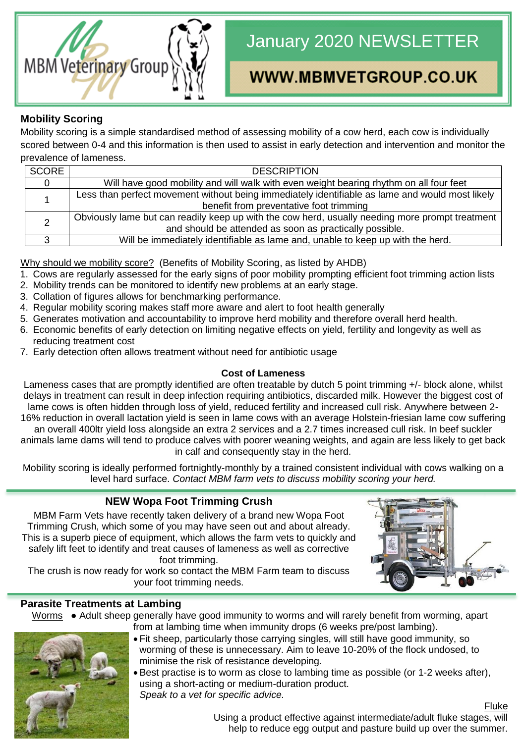

# January 2020 NEWSLETTER

# WWW.MBMVETGROUP.CO.UK

# **Mobility Scoring**

Mobility scoring is a simple standardised method of assessing mobility of a cow herd, each cow is individually scored between 0-4 and this information is then used to assist in early detection and intervention and monitor the prevalence of lameness.

| <b>SCORE</b> | <b>DESCRIPTION</b>                                                                              |  |  |
|--------------|-------------------------------------------------------------------------------------------------|--|--|
|              | Will have good mobility and will walk with even weight bearing rhythm on all four feet          |  |  |
|              | Less than perfect movement without being immediately identifiable as lame and would most likely |  |  |
|              | benefit from preventative foot trimming                                                         |  |  |
|              | Obviously lame but can readily keep up with the cow herd, usually needing more prompt treatment |  |  |
|              | and should be attended as soon as practically possible.                                         |  |  |
|              | Will be immediately identifiable as lame and, unable to keep up with the herd.                  |  |  |

Why should we mobility score? (Benefits of Mobility Scoring, as listed by AHDB)

- 1. Cows are regularly assessed for the early signs of poor mobility prompting efficient foot trimming action lists
- 2. Mobility trends can be monitored to identify new problems at an early stage.
- 3. Collation of figures allows for benchmarking performance.
- 4. Regular mobility scoring makes staff more aware and alert to foot health generally
- 5. Generates motivation and accountability to improve herd mobility and therefore overall herd health.
- 6. Economic benefits of early detection on limiting negative effects on yield, fertility and longevity as well as reducing treatment cost
- 7. Early detection often allows treatment without need for antibiotic usage

#### **Cost of Lameness**

Lameness cases that are promptly identified are often treatable by dutch 5 point trimming +/- block alone, whilst delays in treatment can result in deep infection requiring antibiotics, discarded milk. However the biggest cost of lame cows is often hidden through loss of yield, reduced fertility and increased cull risk. Anywhere between 2- 16% reduction in overall lactation yield is seen in lame cows with an average Holstein-friesian lame cow suffering an overall 400ltr yield loss alongside an extra 2 services and a 2.7 times increased cull risk. In beef suckler animals lame dams will tend to produce calves with poorer weaning weights, and again are less likely to get back in calf and consequently stay in the herd.

Mobility scoring is ideally performed fortnightly-monthly by a trained consistent individual with cows walking on a level hard surface. *Contact MBM farm vets to discuss mobility scoring your herd.*

## **NEW Wopa Foot Trimming Crush**

MBM Farm Vets have recently taken delivery of a brand new Wopa Foot Trimming Crush, which some of you may have seen out and about already. This is a superb piece of equipment, which allows the farm vets to quickly and safely lift feet to identify and treat causes of lameness as well as corrective foot trimming.

The crush is now ready for work so contact the MBM Farm team to discuss your foot trimming needs.

## **Parasite Treatments at Lambing**

Worms • Adult sheep generally have good immunity to worms and will rarely benefit from worming, apart from at lambing time when immunity drops (6 weeks pre/post lambing).



- Fit sheep, particularly those carrying singles, will still have good immunity, so worming of these is unnecessary. Aim to leave 10-20% of the flock undosed, to minimise the risk of resistance developing.
- Best practise is to worm as close to lambing time as possible (or 1-2 weeks after), using a short-acting or medium-duration product. *Speak to a vet for specific advice.*

**Fluke** Using a product effective against intermediate/adult fluke stages, will help to reduce egg output and pasture build up over the summer.